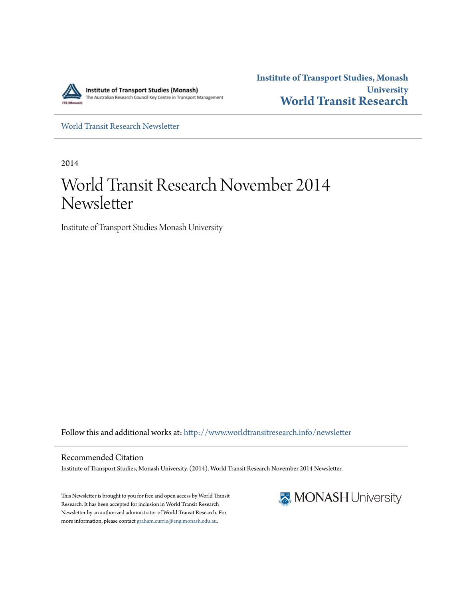

**Institute of Transport Studies, Monash University [World Transit Research](http://www.worldtransitresearch.info?utm_source=www.worldtransitresearch.info%2Fnewsletter%2F27&utm_medium=PDF&utm_campaign=PDFCoverPages)**

[World Transit Research Newsletter](http://www.worldtransitresearch.info/newsletter?utm_source=www.worldtransitresearch.info%2Fnewsletter%2F27&utm_medium=PDF&utm_campaign=PDFCoverPages)

2014

# World Transit Research November 2014 Newsletter

Institute of Transport Studies Monash University

Follow this and additional works at: [http://www.worldtransitresearch.info/newsletter](http://www.worldtransitresearch.info/newsletter?utm_source=www.worldtransitresearch.info%2Fnewsletter%2F27&utm_medium=PDF&utm_campaign=PDFCoverPages)

Recommended Citation Institute of Transport Studies, Monash University. (2014). World Transit Research November 2014 Newsletter.

This Newsletter is brought to you for free and open access by World Transit Research. It has been accepted for inclusion in World Transit Research Newsletter by an authorized administrator of World Transit Research. For more information, please contact [graham.currie@eng.monash.edu.au.](mailto:graham.currie@eng.monash.edu.au)

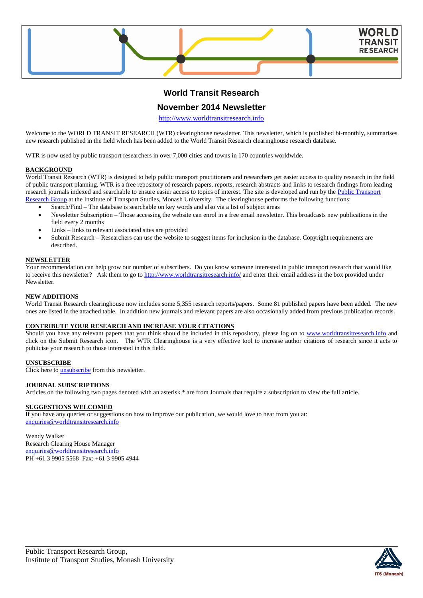

# **World Transit Research**

# **November 2014 Newsletter**

[http://www.worldtransitresearch.info](http://www.worldtransitresearch.info/)

Welcome to the WORLD TRANSIT RESEARCH (WTR) clearinghouse newsletter. This newsletter, which is published bi-monthly, summarises new research published in the field which has been added to the World Transit Research clearinghouse research database.

WTR is now used by public transport researchers in over 7,000 cities and towns in 170 countries worldwide.

#### **BACKGROUND**

World Transit Research (WTR) is designed to help public transport practitioners and researchers get easier access to quality research in the field of public transport planning. WTR is a free repository of research papers, reports, research abstracts and links to research findings from leading research journals indexed and searchable to ensure easier access to topics of interest. The site is developed and run by the Public Transport [Research Group](http://eng.monash.edu.au/civil/research/centres/its/research-activities/public-transport-planning.html) at the Institute of Transport Studies, Monash University. The clearinghouse performs the following functions:

- Search/Find The database is searchable on key words and also via a list of subject areas
- Newsletter Subscription Those accessing the website can enrol in a free email newsletter. This broadcasts new publications in the field every 2 months
- Links links to relevant associated sites are provided
- Submit Research Researchers can use the website to suggest items for inclusion in the database. Copyright requirements are described.

### **NEWSLETTER**

Your recommendation can help grow our number of subscribers. Do you know someone interested in public transport research that would like to receive this newsletter? Ask them to go to<http://www.worldtransitresearch.info/> and enter their email address in the box provided under **Newsletter** 

#### **NEW ADDITIONS**

World Transit Research clearinghouse now includes some 5,355 research reports/papers. Some 81 published papers have been added. The new ones are listed in the attached table. In addition new journals and relevant papers are also occasionally added from previous publication records.

#### **CONTRIBUTE YOUR RESEARCH AND INCREASE YOUR CITATIONS**

Should you have any relevant papers that you think should be included in this repository, please log on to [www.worldtransitresearch.info](http://www.worldtransitresearch.info/) and click on the Submit Research icon. The WTR Clearinghouse is a very effective tool to increase author citations of research since it acts to publicise your research to those interested in this field.

# **UNSUBSCRIBE**

Click here to **unsubscribe** from this newsletter.

#### **JOURNAL SUBSCRIPTIONS**

Articles on the following two pages denoted with an asterisk \* are from Journals that require a subscription to view the full article.

## **SUGGESTIONS WELCOMED**

If you have any queries or suggestions on how to improve our publication, we would love to hear from you at: [enquiries@worldtransitresearch.info](mailto:enquiries@worldtransitresearch.info)

#### Wendy Walker Research Clearing House Manager [enquiries@worldtransitresearch.info](mailto:enquiries@worldtransitresearch.info)

PH +61 3 9905 5568 Fax: +61 3 9905 4944

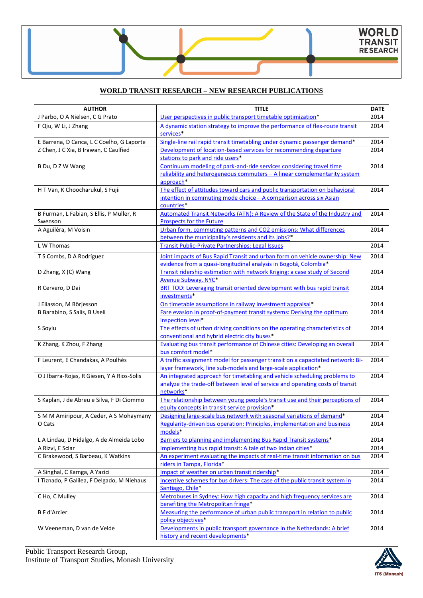# **WORLD TRANSIT RESEARCH – NEW RESEARCH PUBLICATIONS**

| <b>AUTHOR</b>                              | <b>TITLE</b>                                                                                                | <b>DATE</b> |
|--------------------------------------------|-------------------------------------------------------------------------------------------------------------|-------------|
| J Parbo, O A Nielsen, C G Prato            | User perspectives in public transport timetable optimization*                                               | 2014        |
| F Qiu, W Li, J Zhang                       | A dynamic station strategy to improve the performance of flex-route transit                                 | 2014        |
|                                            | services*                                                                                                   |             |
| E Barrena, D Canca, L C Coelho, G Laporte  | Single-line rail rapid transit timetabling under dynamic passenger demand*                                  | 2014        |
| Z Chen, J C Xia, B Irawan, C Caulfied      | Development of location-based services for recommending departure                                           | 2014        |
|                                            | stations to park and ride users*                                                                            |             |
| B Du, D Z W Wang                           | Continuum modeling of park-and-ride services considering travel time                                        | 2014        |
|                                            | reliability and heterogeneous commuters - A linear complementarity system                                   |             |
|                                            | approach*                                                                                                   |             |
| H T Van, K Choocharukul, S Fujii           | The effect of attitudes toward cars and public transportation on behavioral                                 | 2014        |
|                                            | intention in commuting mode choice-A comparison across six Asian                                            |             |
|                                            | countries*                                                                                                  |             |
| B Furman, L Fabian, S Ellis, P Muller, R   | Automated Transit Networks (ATN): A Review of the State of the Industry and                                 | 2014        |
| Swenson                                    | <b>Prospects for the Future</b>                                                                             |             |
| A Aguiléra, M Voisin                       | Urban form, commuting patterns and CO2 emissions: What differences                                          | 2014        |
|                                            | between the municipality's residents and its jobs?*                                                         |             |
| L W Thomas                                 | <b>Transit Public-Private Partnerships: Legal Issues</b>                                                    | 2014        |
| T S Combs, D A Rodríguez                   | Joint impacts of Bus Rapid Transit and urban form on vehicle ownership: New                                 | 2014        |
|                                            | evidence from a quasi-longitudinal analysis in Bogotá, Colombia*                                            |             |
| D Zhang, X (C) Wang                        | Transit ridership estimation with network Kriging: a case study of Second                                   | 2014        |
|                                            | Avenue Subway, NYC*                                                                                         |             |
| R Cervero, D Dai                           | BRT TOD: Leveraging transit oriented development with bus rapid transit                                     | 2014        |
|                                            | investments*                                                                                                |             |
| J Eliasson, M Börjesson                    | On timetable assumptions in railway investment appraisal*                                                   | 2014        |
| B Barabino, S Salis, B Useli               | Fare evasion in proof-of-payment transit systems: Deriving the optimum                                      | 2014        |
|                                            | inspection level*                                                                                           |             |
| S Soylu                                    | The effects of urban driving conditions on the operating characteristics of                                 | 2014        |
|                                            | conventional and hybrid electric city buses*                                                                |             |
| K Zhang, K Zhou, F Zhang                   | <b>Evaluating bus transit performance of Chinese cities: Developing an overall</b>                          | 2014        |
|                                            | bus comfort model*                                                                                          |             |
| F Leurent, E Chandakas, A Poulhès          | A traffic assignment model for passenger transit on a capacitated network: Bi-                              | 2014        |
|                                            | layer framework, line sub-models and large-scale application*                                               |             |
| O J Ibarra-Rojas, R Giesen, Y A Rios-Solis | An integrated approach for timetabling and vehicle scheduling problems to                                   | 2014        |
|                                            | analyze the trade-off between level of service and operating costs of transit                               |             |
|                                            | networks*                                                                                                   |             |
| S Kaplan, J de Abreu e Silva, F Di Ciommo  | The relationship between young people's transit use and their perceptions of                                | 2014        |
|                                            | equity concepts in transit service provision*                                                               |             |
| S M M Amiripour, A Ceder, A S Mohaymany    | Designing large-scale bus network with seasonal variations of demand*                                       | 2014        |
| O Cats                                     | Regularity-driven bus operation: Principles, implementation and business                                    | 2014        |
|                                            | models*                                                                                                     |             |
| L A Lindau, D Hidalgo, A de Almeida Lobo   | Barriers to planning and implementing Bus Rapid Transit systems*                                            | 2014        |
| A Rizvi, E Sclar                           | Implementing bus rapid transit: A tale of two Indian cities*                                                | 2014        |
| C Brakewood, S Barbeau, K Watkins          | An experiment evaluating the impacts of real-time transit information on bus                                | 2014        |
|                                            | riders in Tampa, Florida*                                                                                   |             |
| A Singhal, C Kamga, A Yazici               | Impact of weather on urban transit ridership*                                                               | 2014        |
| I Tiznado, P Galilea, F Delgado, M Niehaus | Incentive schemes for bus drivers: The case of the public transit system in                                 | 2014        |
|                                            | Santiago, Chile*                                                                                            |             |
| C Ho, C Mulley                             | Metrobuses in Sydney: How high capacity and high frequency services are                                     | 2014        |
|                                            | benefiting the Metropolitan fringe*                                                                         |             |
| <b>B F d'Arcier</b>                        | Measuring the performance of urban public transport in relation to public<br>policy objectives*             | 2014        |
|                                            |                                                                                                             | 2014        |
| W Veeneman, D van de Velde                 | Developments in public transport governance in the Netherlands: A brief<br>history and recent developments* |             |
|                                            |                                                                                                             |             |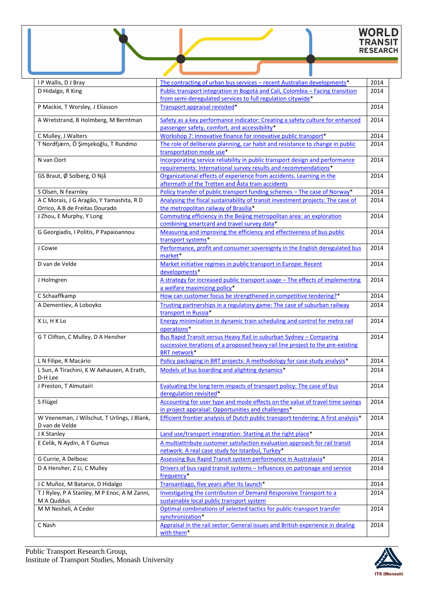# WORLD<br>TRANSIT<br>RESEARCH

| I P Wallis, D J Bray                                                       | The contracting of urban bus services - recent Australian developments*                                                                      | 2014 |
|----------------------------------------------------------------------------|----------------------------------------------------------------------------------------------------------------------------------------------|------|
| D Hidalgo, R King                                                          | Public transport integration in Bogotá and Cali, Colombia - Facing transition<br>from semi-deregulated services to full regulation citywide* | 2014 |
| P Mackie, T Worsley, J Eliasson                                            | Transport appraisal revisited*                                                                                                               | 2014 |
| A Wretstrand, B Holmberg, M Berntman                                       | Safety as a key performance indicator: Creating a safety culture for enhanced<br>passenger safety, comfort, and accessibility*               | 2014 |
| C Mulley, J Walters                                                        | Workshop 7: Innovative finance for innovative public transport*                                                                              | 2014 |
| T Nordfjærn, Ö Şimşekoğlu, T Rundmo                                        | The role of deliberate planning, car habit and resistance to change in public                                                                | 2014 |
|                                                                            | transportation mode use*                                                                                                                     |      |
| N van Oort                                                                 | Incorporating service reliability in public transport design and performance                                                                 | 2014 |
|                                                                            | requirements: International survey results and recommendations*                                                                              |      |
| GS Braut, Ø Solberg, O Njå                                                 | Organizational effects of experience from accidents. Learning in the                                                                         | 2014 |
|                                                                            | aftermath of the Tretten and Åsta train accidents                                                                                            |      |
| S Olsen, N Fearnley                                                        | Policy transfer of public transport funding schemes - The case of Norway*                                                                    | 2014 |
| A C Morais, J G Aragão, Y Yamashita, R D<br>Orrico, A B de Freitas Dourado | Analysing the fiscal sustainability of transit investment projects: The case of<br>the metropolitan railway of Brasília*                     | 2014 |
| J Zhou, E Murphy, Y Long                                                   | Commuting efficiency in the Beijing metropolitan area: an exploration                                                                        | 2014 |
|                                                                            | combining smartcard and travel survey data*                                                                                                  |      |
| G Georgiadis, I Politis, P Papaioannou                                     | Measuring and improving the efficiency and effectiveness of bus public<br>transport systems*                                                 | 2014 |
| J Cowie                                                                    | Performance, profit and consumer sovereignty in the English deregulated bus                                                                  | 2014 |
|                                                                            | market*                                                                                                                                      |      |
| D van de Velde                                                             | Market initiative regimes in public transport in Europe: Recent<br>developments*                                                             | 2014 |
| J Holmgren                                                                 | A strategy for increased public transport usage - The effects of implementing                                                                | 2014 |
|                                                                            | a welfare maximizing policy*                                                                                                                 |      |
| C Schaaffkamp                                                              | How can customer focus be strengthened in competitive tendering?*                                                                            | 2014 |
| A Dementiev, A Loboyko                                                     | Trusting partnerships in a regulatory game: The case of suburban railway                                                                     | 2014 |
|                                                                            | transport in Russia*                                                                                                                         |      |
| X Li, H K Lo                                                               | Energy minimization in dynamic train scheduling and control for metro rail                                                                   | 2014 |
| G T Clifton, C Mulley, D A Hensher                                         | operations*<br>Bus Rapid Transit versus Heavy Rail in suburban Sydney - Comparing                                                            | 2014 |
|                                                                            | successive iterations of a proposed heavy rail line project to the pre-existing                                                              |      |
|                                                                            | <b>BRT network*</b>                                                                                                                          |      |
| L N Filipe, R Macário                                                      | Policy packaging in BRT projects: A methodology for case study analysis*                                                                     | 2014 |
| L Sun, A Tirachini, K W Axhausen, A Erath,<br>D-H Lee                      | Models of bus boarding and alighting dynamics*                                                                                               | 2014 |
| J Preston, T Almutairi                                                     | Evaluating the long term impacts of transport policy: The case of bus                                                                        | 2014 |
|                                                                            | deregulation revisited*                                                                                                                      |      |
| S Flügel                                                                   | Accounting for user type and mode effects on the value of travel time savings                                                                | 2014 |
|                                                                            | in project appraisal: Opportunities and challenges*                                                                                          |      |
| W Veeneman, J Wilschut, T Urlings, J Blank,                                | Efficient frontier analysis of Dutch public transport tendering: A first analysis*                                                           | 2014 |
| D van de Velde                                                             | Land use/transport integration: Starting at the right place*                                                                                 | 2014 |
| J K Stanley                                                                |                                                                                                                                              |      |
| E Celik, N Aydin, A T Gumus                                                | A multiattribute customer satisfaction evaluation approach for rail transit<br>network: A real case study for Istanbul, Turkey*              | 2014 |
| G Currie, A Delbosc                                                        | Assessing Bus Rapid Transit system performance in Australasia*                                                                               | 2014 |
| D A Hensher, Z Li, C Mulley                                                | Drivers of bus rapid transit systems - Influences on patronage and service                                                                   | 2014 |
|                                                                            | frequency*                                                                                                                                   |      |
| J C Muñoz, M Batarce, D Hidalgo                                            | Transantiago, five years after its launch*                                                                                                   | 2014 |
| T J Ryley, P A Stanley, M P Enoc, A M Zanni,                               | Investigating the contribution of Demand Responsive Transport to a                                                                           | 2014 |
| M A Quddus                                                                 | sustainable local public transport system                                                                                                    |      |
| M M Nesheli, A Ceder                                                       | Optimal combinations of selected tactics for public-transport transfer                                                                       | 2014 |
| C Nash                                                                     | synchronization*<br>Appraisal in the rail sector: General issues and British experience in dealing                                           | 2014 |
|                                                                            | with them*                                                                                                                                   |      |